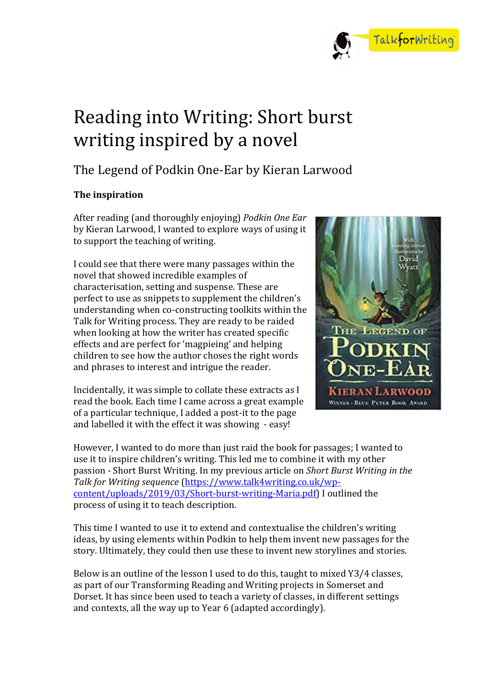

# Reading into Writing: Short burst writing inspired by a novel

# The Legend of Podkin One-Ear by Kieran Larwood

# **The inspiration**

After reading (and thoroughly enjoying) *Podkin One Ear* by Kieran Larwood, I wanted to explore ways of using it to support the teaching of writing.

I could see that there were many passages within the novel that showed incredible examples of characterisation, setting and suspense. These are perfect to use as snippets to supplement the children's understanding when co-constructing toolkits within the Talk for Writing process. They are ready to be raided when looking at how the writer has created specific effects and are perfect for 'magpieing' and helping children to see how the author choses the right words and phrases to interest and intrigue the reader.

Incidentally, it was simple to collate these extracts as I read the book. Each time I came across a great example of a particular technique, I added a post-it to the page and labelled it with the effect it was showing - easy!



However, I wanted to do more than just raid the book for passages; I wanted to use it to inspire children's writing. This led me to combine it with my other passion - Short Burst Writing. In my previous article on *Short Burst Writing in the Talk for Writing sequence* [\(https://www.talk4writing.co.uk/wp](https://www.talk4writing.co.uk/wp-content/uploads/2019/03/Short-burst-writing-Maria.pdf)[content/uploads/2019/03/Short-burst-writing-Maria.pdf\)](https://www.talk4writing.co.uk/wp-content/uploads/2019/03/Short-burst-writing-Maria.pdf) I outlined the process of using it to teach description.

This time I wanted to use it to extend and contextualise the children's writing ideas, by using elements within Podkin to help them invent new passages for the story. Ultimately, they could then use these to invent new storylines and stories.

Below is an outline of the lesson I used to do this, taught to mixed Y3/4 classes, as part of our Transforming Reading and Writing projects in Somerset and Dorset. It has since been used to teach a variety of classes, in different settings and contexts, all the way up to Year 6 (adapted accordingly).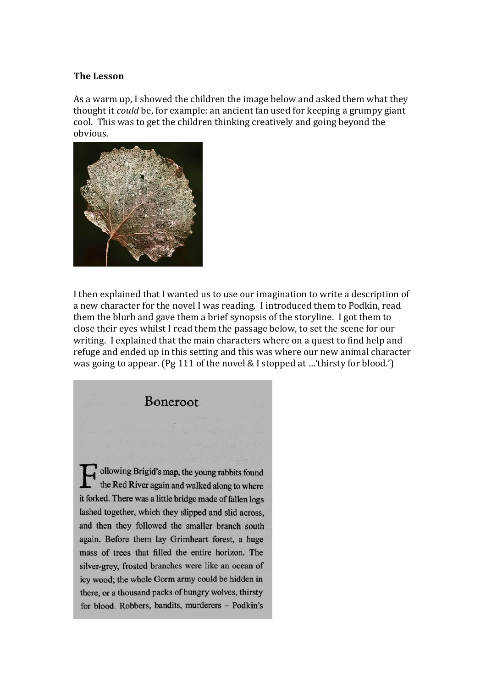#### **The Lesson**

As a warm up, I showed the children the image below and asked them what they thought it *could* be, for example: an ancient fan used for keeping a grumpy giant cool. This was to get the children thinking creatively and going beyond the obvious.



I then explained that I wanted us to use our imagination to write a description of a new character for the novel I was reading. I introduced them to Podkin, read them the blurb and gave them a brief synopsis of the storyline. I got them to close their eyes whilst I read them the passage below, to set the scene for our writing. I explained that the main characters where on a quest to find help and refuge and ended up in this setting and this was where our new animal character was going to appear. (Pg 111 of the novel & I stopped at …'thirsty for blood.')

Boneroot ollowing Brigid's map, the young rabbits found the Red River again and walked along to where it forked. There was a little bridge made of fallen logs lashed together, which they slipped and slid across, and then they followed the smaller branch south again. Before them lay Grimheart forest, a huge mass of trees that filled the entire horizon. The silver-grey, frosted branches were like an ocean of icy wood; the whole Gorm army could be hidden in there, or a thousand packs of hungry wolves, thirsty for blood. Robbers, bandits, murderers - Podkin's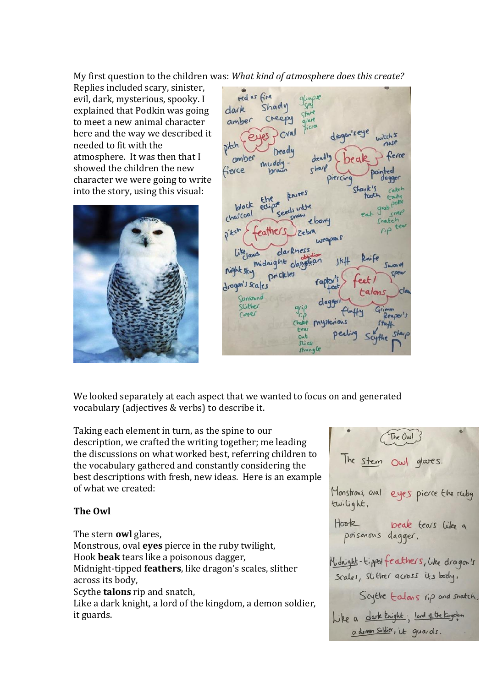My first question to the children was: *What kind of atmosphere does this create?* 

Replies included scary, sinister, evil, dark, mysterious, spooky. I explained that Podkin was going to meet a new animal character here and the way we described it needed to fit with the atmosphere. It was then that I showed the children the new character we were going to write into the story, using this visual:



red as fire Shadv dark amber Cheepy drago nitch heady ambe fierce knives block charcoal darkness midnight obsidia  $C<sub>n</sub>$ night sky prickles dragon's scales Curronn Slither cover mustenons  $N$ strangle

We looked separately at each aspect that we wanted to focus on and generated vocabulary (adjectives & verbs) to describe it.

Taking each element in turn, as the spine to our description, we crafted the writing together; me leading the discussions on what worked best, referring children to the vocabulary gathered and constantly considering the best descriptions with fresh, new ideas. Here is an example of what we created:

### **The Owl**

The stern **owl** glares, Monstrous, oval **eyes** pierce in the ruby twilight, Hook **beak** tears like a poisonous dagger, Midnight-tipped **feathers**, like dragon's scales, slither across its body, Scythe **talons** rip and snatch, Like a dark knight, a lord of the kingdom, a demon soldier, it guards.

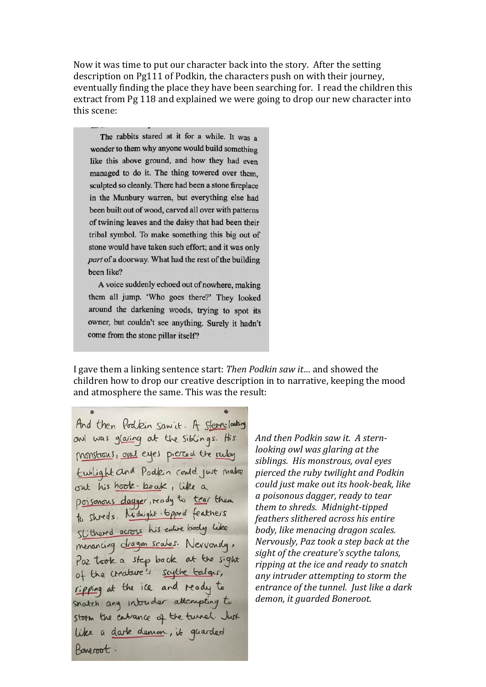Now it was time to put our character back into the story. After the setting description on Pg111 of Podkin, the characters push on with their journey, eventually finding the place they have been searching for. I read the children this extract from Pg 118 and explained we were going to drop our new character into this scene:

The rabbits stared at it for a while. It was a wonder to them why anyone would build something like this above ground, and how they had even managed to do it. The thing towered over them. sculpted so cleanly. There had been a stone fireplace in the Munbury warren, but everything else had been built out of wood, carved all over with patterns of twining leaves and the daisy that had been their tribal symbol. To make something this big out of stone would have taken such effort; and it was only part of a doorway. What had the rest of the building been like?

A voice suddenly echoed out of nowhere, making them all jump. 'Who goes there?' They looked around the darkening woods, trying to spot its owner, but couldn't see anything. Surely it hadn't come from the stone pillar itself?

I gave them a linking sentence start: *Then Podkin saw it…* and showed the children how to drop our creative description in to narrative, keeping the mood and atmosphere the same. This was the result:

And then Podkin saw it. A stern-looking and was glaring at the siblings. His monstrons, and eyes piered the ruby Ewilight and Podkin could just make out his hook-beak, like a poisonous dagger, ready to trar them to shreds. Nidnight-tipped feathers SLithered across his entire body like menancing dragon scales. Newvonsly, Paz took a step back at the sight of the creature's scythe talges, ripping at the ice and ready to snatch any intruder attempting to storm the entrance of the turnel. Just like a dark demon, it guarded Boneroot.

*And then Podkin saw it. A sternlooking owl was glaring at the siblings. His monstrous, oval eyes pierced the ruby twilight and Podkin could just make out its hook-beak, like a poisonous dagger, ready to tear them to shreds. Midnight-tipped feathers slithered across his entire body, like menacing dragon scales. Nervously, Paz took a step back at the sight of the creature's scythe talons, ripping at the ice and ready to snatch any intruder attempting to storm the entrance of the tunnel. Just like a dark demon, it guarded Boneroot.*